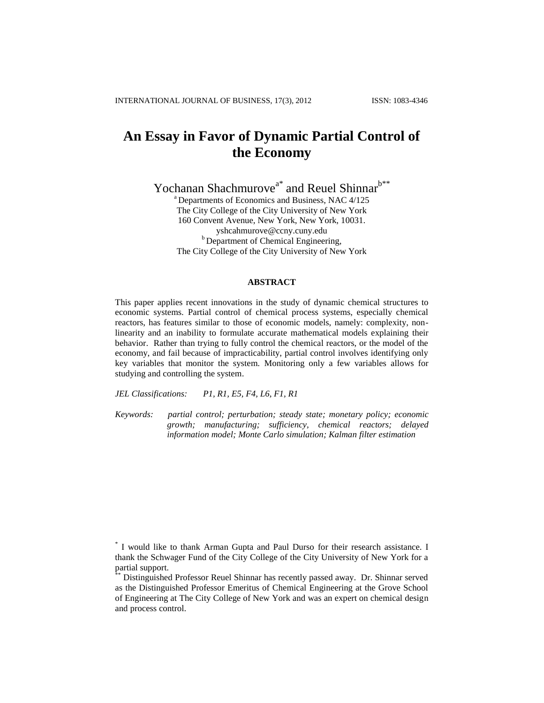# **An Essay in Favor of Dynamic Partial Control of the Economy**

Yochanan Shachmurove<sup>a\*</sup> and Reuel Shinnar<sup>b\*\*</sup>

<sup>a</sup> Departments of Economics and Business, NAC 4/125 The City College of the City University of New York 160 Convent Avenue, New York, New York, 10031. [yshcahmurove@ccny.cuny.edu](mailto:yshcahmurove@ccny.cuny.edu) **b** Department of Chemical Engineering, The City College of the City University of New York

#### **ABSTRACT**

This paper applies recent innovations in the study of dynamic chemical structures to economic systems. Partial control of chemical process systems, especially chemical reactors, has features similar to those of economic models, namely: complexity, nonlinearity and an inability to formulate accurate mathematical models explaining their behavior. Rather than trying to fully control the chemical reactors, or the model of the economy, and fail because of impracticability, partial control involves identifying only key variables that monitor the system. Monitoring only a few variables allows for studying and controlling the system.

*JEL Classifications: P1, R1, E5, F4, L6, F1, R1*

*Keywords: partial control; perturbation; steady state; monetary policy; economic growth; manufacturing; sufficiency, chemical reactors; delayed information model; Monte Carlo simulation; Kalman filter estimation*

<sup>\*</sup> I would like to thank Arman Gupta and Paul Durso for their research assistance. I thank the Schwager Fund of the City College of the City University of New York for a partial support.

Distinguished Professor Reuel Shinnar has recently passed away. Dr. Shinnar served as the Distinguished Professor Emeritus of Chemical Engineering at the Grove School of Engineering at The City College of New York and was an expert on chemical design and process control.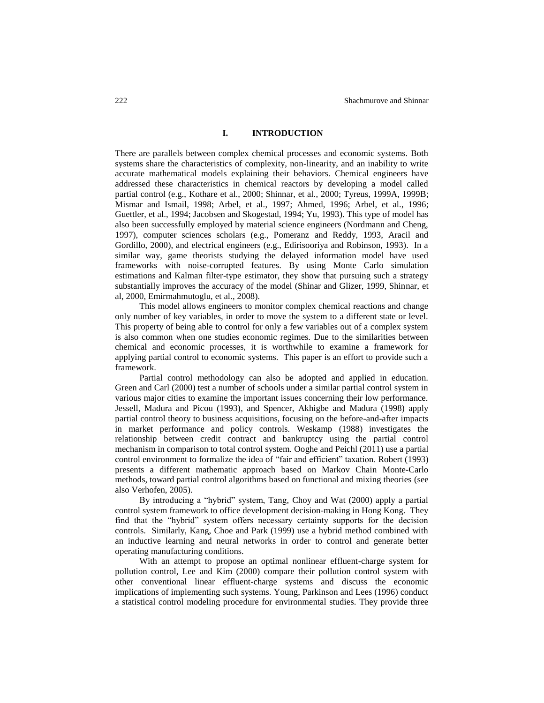## **I. INTRODUCTION**

There are parallels between complex chemical processes and economic systems. Both systems share the characteristics of complexity, non-linearity, and an inability to write accurate mathematical models explaining their behaviors. Chemical engineers have addressed these characteristics in chemical reactors by developing a model called partial control (e.g., Kothare et al., 2000; Shinnar, et al., 2000; Tyreus, 1999A, 1999B; Mismar and Ismail, 1998; Arbel, et al., 1997; Ahmed, 1996; Arbel, et al., 1996; Guettler, et al., 1994; Jacobsen and Skogestad, 1994; Yu, 1993). This type of model has also been successfully employed by material science engineers (Nordmann and Cheng, 1997), computer sciences scholars (e.g., Pomeranz and Reddy, 1993, Aracil and Gordillo, 2000), and electrical engineers (e.g., Edirisooriya and Robinson, 1993). In a similar way, game theorists studying the delayed information model have used frameworks with noise-corrupted features. By using Monte Carlo simulation estimations and Kalman filter-type estimator, they show that pursuing such a strategy substantially improves the accuracy of the model (Shinar and Glizer, 1999, Shinnar, et al, 2000, Emirmahmutoglu, et al., 2008).

This model allows engineers to monitor complex chemical reactions and change only number of key variables, in order to move the system to a different state or level. This property of being able to control for only a few variables out of a complex system is also common when one studies economic regimes. Due to the similarities between chemical and economic processes, it is worthwhile to examine a framework for applying partial control to economic systems. This paper is an effort to provide such a framework.

Partial control methodology can also be adopted and applied in education. Green and Carl (2000) test a number of schools under a similar partial control system in various major cities to examine the important issues concerning their low performance. Jessell, Madura and Picou (1993), and Spencer, Akhigbe and Madura (1998) apply partial control theory to business acquisitions, focusing on the before-and-after impacts in market performance and policy controls. Weskamp (1988) investigates the relationship between credit contract and bankruptcy using the partial control mechanism in comparison to total control system. Ooghe and Peichl (2011) use a partial control environment to formalize the idea of "fair and efficient" taxation. Robert (1993) presents a different mathematic approach based on Markov Chain Monte-Carlo methods, toward partial control algorithms based on functional and mixing theories (see also Verhofen, 2005).

By introducing a "hybrid" system, Tang, Choy and Wat (2000) apply a partial control system framework to office development decision-making in Hong Kong. They find that the "hybrid" system offers necessary certainty supports for the decision controls. Similarly, Kang, Choe and Park (1999) use a hybrid method combined with an inductive learning and neural networks in order to control and generate better operating manufacturing conditions.

With an attempt to propose an optimal nonlinear effluent-charge system for pollution control, Lee and Kim (2000) compare their pollution control system with other conventional linear effluent-charge systems and discuss the economic implications of implementing such systems. Young, Parkinson and Lees (1996) conduct a statistical control modeling procedure for environmental studies. They provide three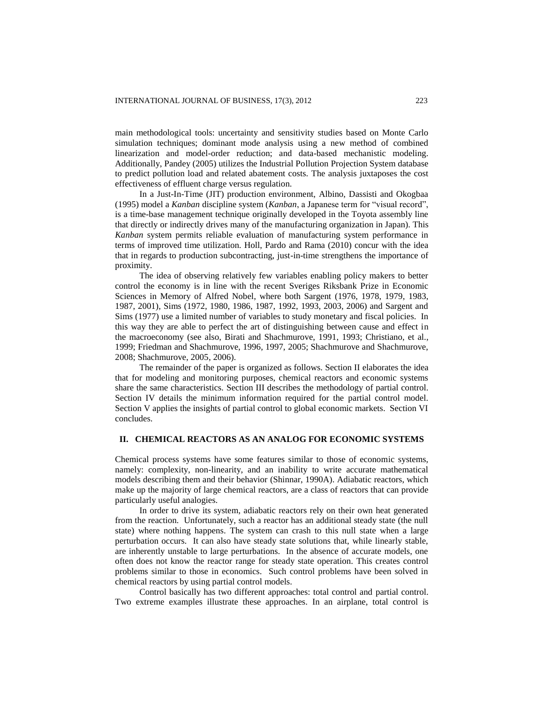main methodological tools: uncertainty and sensitivity studies based on Monte Carlo simulation techniques; dominant mode analysis using a new method of combined linearization and model-order reduction; and data-based mechanistic modeling. Additionally, Pandey (2005) utilizes the Industrial Pollution Projection System database to predict pollution load and related abatement costs. The analysis juxtaposes the cost effectiveness of effluent charge versus regulation.

In a Just-In-Time (JIT) production environment, Albino, Dassisti and Okogbaa (1995) model a *Kanban* discipline system (*Kanban*, a Japanese term for "visual record", is a time-base management technique originally developed in the Toyota assembly line that directly or indirectly drives many of the manufacturing organization in Japan). This *Kanban* system permits reliable evaluation of manufacturing system performance in terms of improved time utilization. Holl, Pardo and Rama (2010) concur with the idea that in regards to production subcontracting, just-in-time strengthens the importance of proximity.

The idea of observing relatively few variables enabling policy makers to better control the economy is in line with the recent Sveriges Riksbank Prize in Economic Sciences in Memory of Alfred Nobel, where both Sargent (1976, 1978, 1979, 1983, 1987, 2001), Sims (1972, 1980, 1986, 1987, 1992, 1993, 2003, 2006) and Sargent and Sims (1977) use a limited number of variables to study monetary and fiscal policies. In this way they are able to perfect the art of distinguishing between cause and effect in the macroeconomy (see also, Birati and Shachmurove, 1991, 1993; Christiano, et al., 1999; Friedman and Shachmurove, 1996, 1997, 2005; Shachmurove and Shachmurove, 2008; Shachmurove, 2005, 2006).

The remainder of the paper is organized as follows. Section II elaborates the idea that for modeling and monitoring purposes, chemical reactors and economic systems share the same characteristics. Section III describes the methodology of partial control. Section IV details the minimum information required for the partial control model. Section V applies the insights of partial control to global economic markets. Section VI concludes.

# **II. CHEMICAL REACTORS AS AN ANALOG FOR ECONOMIC SYSTEMS**

Chemical process systems have some features similar to those of economic systems, namely: complexity, non-linearity, and an inability to write accurate mathematical models describing them and their behavior (Shinnar, 1990A). Adiabatic reactors, which make up the majority of large chemical reactors, are a class of reactors that can provide particularly useful analogies.

In order to drive its system, adiabatic reactors rely on their own heat generated from the reaction. Unfortunately, such a reactor has an additional steady state (the null state) where nothing happens. The system can crash to this null state when a large perturbation occurs. It can also have steady state solutions that, while linearly stable, are inherently unstable to large perturbations. In the absence of accurate models, one often does not know the reactor range for steady state operation. This creates control problems similar to those in economics. Such control problems have been solved in chemical reactors by using partial control models.

Control basically has two different approaches: total control and partial control. Two extreme examples illustrate these approaches. In an airplane, total control is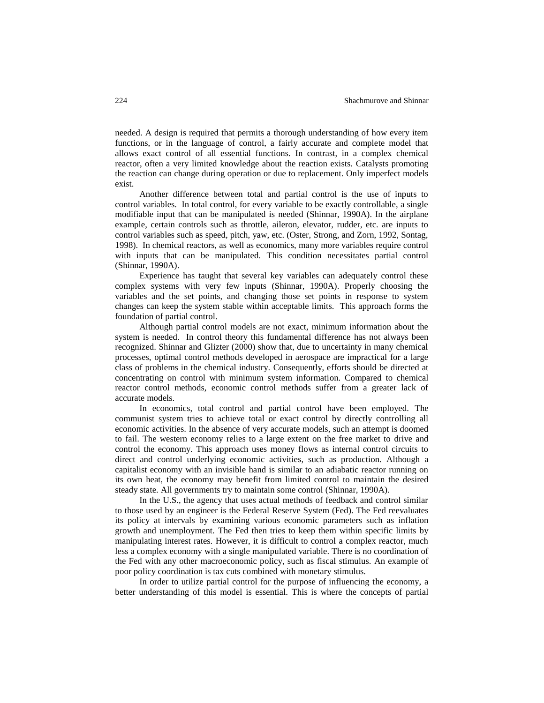needed. A design is required that permits a thorough understanding of how every item functions, or in the language of control, a fairly accurate and complete model that allows exact control of all essential functions. In contrast, in a complex chemical reactor, often a very limited knowledge about the reaction exists. Catalysts promoting the reaction can change during operation or due to replacement. Only imperfect models exist.

Another difference between total and partial control is the use of inputs to control variables. In total control, for every variable to be exactly controllable, a single modifiable input that can be manipulated is needed (Shinnar, 1990A). In the airplane example, certain controls such as throttle, aileron, elevator, rudder, etc. are inputs to control variables such as speed, pitch, yaw, etc. (Oster, Strong, and Zorn, 1992, Sontag, 1998). In chemical reactors, as well as economics, many more variables require control with inputs that can be manipulated. This condition necessitates partial control (Shinnar, 1990A).

Experience has taught that several key variables can adequately control these complex systems with very few inputs (Shinnar, 1990A). Properly choosing the variables and the set points, and changing those set points in response to system changes can keep the system stable within acceptable limits. This approach forms the foundation of partial control.

Although partial control models are not exact, minimum information about the system is needed. In control theory this fundamental difference has not always been recognized. Shinnar and Glizter (2000) show that, due to uncertainty in many chemical processes, optimal control methods developed in aerospace are impractical for a large class of problems in the chemical industry. Consequently, efforts should be directed at concentrating on control with minimum system information. Compared to chemical reactor control methods, economic control methods suffer from a greater lack of accurate models.

In economics, total control and partial control have been employed. The communist system tries to achieve total or exact control by directly controlling all economic activities. In the absence of very accurate models, such an attempt is doomed to fail. The western economy relies to a large extent on the free market to drive and control the economy. This approach uses money flows as internal control circuits to direct and control underlying economic activities, such as production. Although a capitalist economy with an invisible hand is similar to an adiabatic reactor running on its own heat, the economy may benefit from limited control to maintain the desired steady state. All governments try to maintain some control (Shinnar, 1990A).

In the U.S., the agency that uses actual methods of feedback and control similar to those used by an engineer is the Federal Reserve System (Fed). The Fed reevaluates its policy at intervals by examining various economic parameters such as inflation growth and unemployment. The Fed then tries to keep them within specific limits by manipulating interest rates. However, it is difficult to control a complex reactor, much less a complex economy with a single manipulated variable. There is no coordination of the Fed with any other macroeconomic policy, such as fiscal stimulus. An example of poor policy coordination is tax cuts combined with monetary stimulus.

In order to utilize partial control for the purpose of influencing the economy, a better understanding of this model is essential. This is where the concepts of partial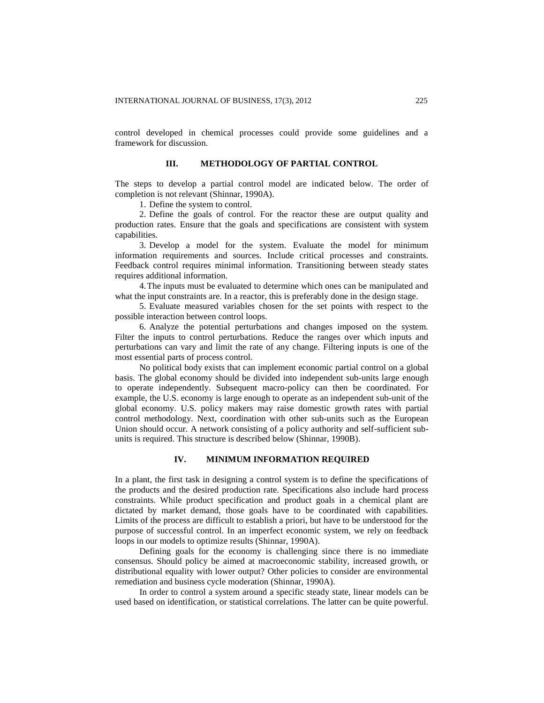control developed in chemical processes could provide some guidelines and a framework for discussion.

## **III. METHODOLOGY OF PARTIAL CONTROL**

The steps to develop a partial control model are indicated below. The order of completion is not relevant (Shinnar, 1990A).

1. Define the system to control.

2. Define the goals of control. For the reactor these are output quality and production rates. Ensure that the goals and specifications are consistent with system capabilities.

3. Develop a model for the system. Evaluate the model for minimum information requirements and sources. Include critical processes and constraints. Feedback control requires minimal information. Transitioning between steady states requires additional information.

4.The inputs must be evaluated to determine which ones can be manipulated and what the input constraints are. In a reactor, this is preferably done in the design stage.

5. Evaluate measured variables chosen for the set points with respect to the possible interaction between control loops.

6. Analyze the potential perturbations and changes imposed on the system. Filter the inputs to control perturbations. Reduce the ranges over which inputs and perturbations can vary and limit the rate of any change. Filtering inputs is one of the most essential parts of process control.

No political body exists that can implement economic partial control on a global basis. The global economy should be divided into independent sub-units large enough to operate independently. Subsequent macro-policy can then be coordinated. For example, the U.S. economy is large enough to operate as an independent sub-unit of the global economy. U.S. policy makers may raise domestic growth rates with partial control methodology. Next, coordination with other sub-units such as the European Union should occur. A network consisting of a policy authority and self-sufficient subunits is required. This structure is described below (Shinnar, 1990B).

# **IV. MINIMUM INFORMATION REQUIRED**

In a plant, the first task in designing a control system is to define the specifications of the products and the desired production rate. Specifications also include hard process constraints. While product specification and product goals in a chemical plant are dictated by market demand, those goals have to be coordinated with capabilities. Limits of the process are difficult to establish a priori, but have to be understood for the purpose of successful control. In an imperfect economic system, we rely on feedback loops in our models to optimize results (Shinnar, 1990A).

Defining goals for the economy is challenging since there is no immediate consensus. Should policy be aimed at macroeconomic stability, increased growth, or distributional equality with lower output? Other policies to consider are environmental remediation and business cycle moderation (Shinnar, 1990A).

In order to control a system around a specific steady state, linear models can be used based on identification, or statistical correlations. The latter can be quite powerful.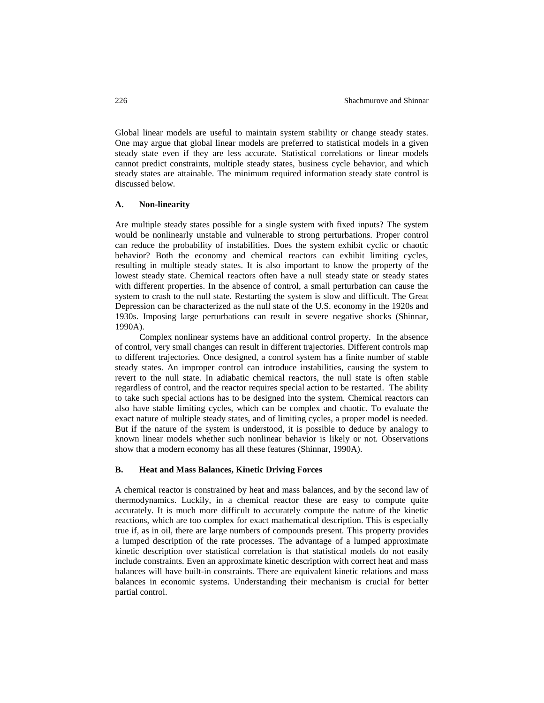Global linear models are useful to maintain system stability or change steady states. One may argue that global linear models are preferred to statistical models in a given steady state even if they are less accurate. Statistical correlations or linear models cannot predict constraints, multiple steady states, business cycle behavior, and which steady states are attainable. The minimum required information steady state control is discussed below.

## **A. Non-linearity**

Are multiple steady states possible for a single system with fixed inputs? The system would be nonlinearly unstable and vulnerable to strong perturbations. Proper control can reduce the probability of instabilities. Does the system exhibit cyclic or chaotic behavior? Both the economy and chemical reactors can exhibit limiting cycles, resulting in multiple steady states. It is also important to know the property of the lowest steady state. Chemical reactors often have a null steady state or steady states with different properties. In the absence of control, a small perturbation can cause the system to crash to the null state. Restarting the system is slow and difficult. The Great Depression can be characterized as the null state of the U.S. economy in the 1920s and 1930s. Imposing large perturbations can result in severe negative shocks (Shinnar, 1990A).

Complex nonlinear systems have an additional control property. In the absence of control, very small changes can result in different trajectories. Different controls map to different trajectories. Once designed, a control system has a finite number of stable steady states. An improper control can introduce instabilities, causing the system to revert to the null state. In adiabatic chemical reactors, the null state is often stable regardless of control, and the reactor requires special action to be restarted. The ability to take such special actions has to be designed into the system. Chemical reactors can also have stable limiting cycles, which can be complex and chaotic. To evaluate the exact nature of multiple steady states, and of limiting cycles, a proper model is needed. But if the nature of the system is understood, it is possible to deduce by analogy to known linear models whether such nonlinear behavior is likely or not. Observations show that a modern economy has all these features (Shinnar, 1990A).

#### **B. Heat and Mass Balances, Kinetic Driving Forces**

A chemical reactor is constrained by heat and mass balances, and by the second law of thermodynamics. Luckily, in a chemical reactor these are easy to compute quite accurately. It is much more difficult to accurately compute the nature of the kinetic reactions, which are too complex for exact mathematical description. This is especially true if, as in oil, there are large numbers of compounds present. This property provides a lumped description of the rate processes. The advantage of a lumped approximate kinetic description over statistical correlation is that statistical models do not easily include constraints. Even an approximate kinetic description with correct heat and mass balances will have built-in constraints. There are equivalent kinetic relations and mass balances in economic systems. Understanding their mechanism is crucial for better partial control.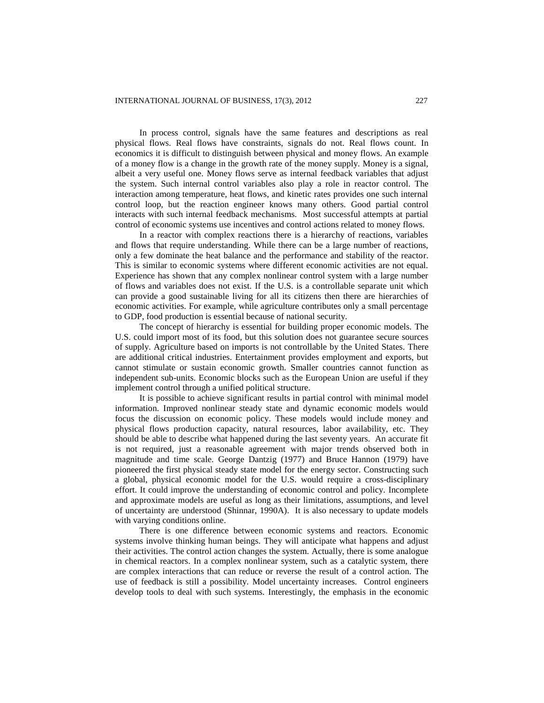In process control, signals have the same features and descriptions as real physical flows. Real flows have constraints, signals do not. Real flows count. In economics it is difficult to distinguish between physical and money flows. An example of a money flow is a change in the growth rate of the money supply. Money is a signal, albeit a very useful one. Money flows serve as internal feedback variables that adjust the system. Such internal control variables also play a role in reactor control. The interaction among temperature, heat flows, and kinetic rates provides one such internal control loop, but the reaction engineer knows many others. Good partial control interacts with such internal feedback mechanisms. Most successful attempts at partial control of economic systems use incentives and control actions related to money flows.

In a reactor with complex reactions there is a hierarchy of reactions, variables and flows that require understanding. While there can be a large number of reactions, only a few dominate the heat balance and the performance and stability of the reactor. This is similar to economic systems where different economic activities are not equal. Experience has shown that any complex nonlinear control system with a large number of flows and variables does not exist. If the U.S. is a controllable separate unit which can provide a good sustainable living for all its citizens then there are hierarchies of economic activities. For example, while agriculture contributes only a small percentage to GDP, food production is essential because of national security.

The concept of hierarchy is essential for building proper economic models. The U.S. could import most of its food, but this solution does not guarantee secure sources of supply. Agriculture based on imports is not controllable by the United States. There are additional critical industries. Entertainment provides employment and exports, but cannot stimulate or sustain economic growth. Smaller countries cannot function as independent sub-units. Economic blocks such as the European Union are useful if they implement control through a unified political structure.

It is possible to achieve significant results in partial control with minimal model information. Improved nonlinear steady state and dynamic economic models would focus the discussion on economic policy. These models would include money and physical flows production capacity, natural resources, labor availability, etc. They should be able to describe what happened during the last seventy years. An accurate fit is not required, just a reasonable agreement with major trends observed both in magnitude and time scale. George Dantzig (1977) and Bruce Hannon (1979) have pioneered the first physical steady state model for the energy sector. Constructing such a global, physical economic model for the U.S. would require a cross-disciplinary effort. It could improve the understanding of economic control and policy. Incomplete and approximate models are useful as long as their limitations, assumptions, and level of uncertainty are understood (Shinnar, 1990A). It is also necessary to update models with varying conditions online.

There is one difference between economic systems and reactors. Economic systems involve thinking human beings. They will anticipate what happens and adjust their activities. The control action changes the system. Actually, there is some analogue in chemical reactors. In a complex nonlinear system, such as a catalytic system, there are complex interactions that can reduce or reverse the result of a control action. The use of feedback is still a possibility. Model uncertainty increases. Control engineers develop tools to deal with such systems. Interestingly, the emphasis in the economic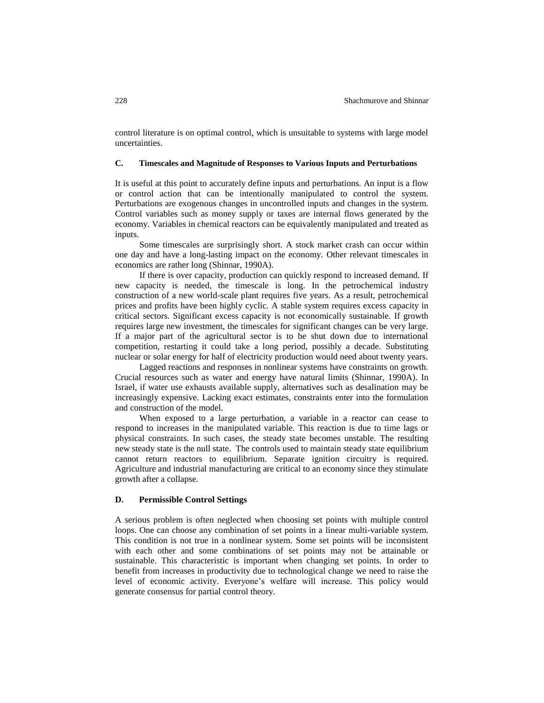control literature is on optimal control, which is unsuitable to systems with large model uncertainties.

## **C. Timescales and Magnitude of Responses to Various Inputs and Perturbations**

It is useful at this point to accurately define inputs and perturbations. An input is a flow or control action that can be intentionally manipulated to control the system. Perturbations are exogenous changes in uncontrolled inputs and changes in the system. Control variables such as money supply or taxes are internal flows generated by the economy. Variables in chemical reactors can be equivalently manipulated and treated as inputs.

Some timescales are surprisingly short. A stock market crash can occur within one day and have a long-lasting impact on the economy. Other relevant timescales in economics are rather long (Shinnar, 1990A).

If there is over capacity, production can quickly respond to increased demand. If new capacity is needed, the timescale is long. In the petrochemical industry construction of a new world-scale plant requires five years. As a result, petrochemical prices and profits have been highly cyclic. A stable system requires excess capacity in critical sectors. Significant excess capacity is not economically sustainable. If growth requires large new investment, the timescales for significant changes can be very large. If a major part of the agricultural sector is to be shut down due to international competition, restarting it could take a long period, possibly a decade. Substituting nuclear or solar energy for half of electricity production would need about twenty years.

Lagged reactions and responses in nonlinear systems have constraints on growth. Crucial resources such as water and energy have natural limits (Shinnar, 1990A). In Israel, if water use exhausts available supply, alternatives such as desalination may be increasingly expensive. Lacking exact estimates, constraints enter into the formulation and construction of the model.

When exposed to a large perturbation, a variable in a reactor can cease to respond to increases in the manipulated variable. This reaction is due to time lags or physical constraints. In such cases, the steady state becomes unstable. The resulting new steady state is the null state. The controls used to maintain steady state equilibrium cannot return reactors to equilibrium. Separate ignition circuitry is required. Agriculture and industrial manufacturing are critical to an economy since they stimulate growth after a collapse.

#### **D. Permissible Control Settings**

A serious problem is often neglected when choosing set points with multiple control loops. One can choose any combination of set points in a linear multi-variable system. This condition is not true in a nonlinear system. Some set points will be inconsistent with each other and some combinations of set points may not be attainable or sustainable. This characteristic is important when changing set points. In order to benefit from increases in productivity due to technological change we need to raise the level of economic activity. Everyone's welfare will increase. This policy would generate consensus for partial control theory.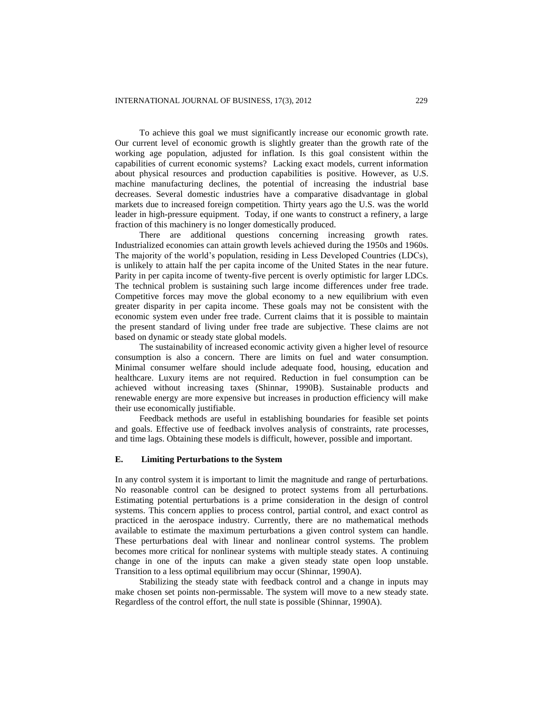To achieve this goal we must significantly increase our economic growth rate. Our current level of economic growth is slightly greater than the growth rate of the working age population, adjusted for inflation. Is this goal consistent within the capabilities of current economic systems? Lacking exact models, current information about physical resources and production capabilities is positive. However, as U.S. machine manufacturing declines, the potential of increasing the industrial base decreases. Several domestic industries have a comparative disadvantage in global markets due to increased foreign competition. Thirty years ago the U.S. was the world leader in high-pressure equipment. Today, if one wants to construct a refinery, a large fraction of this machinery is no longer domestically produced.

There are additional questions concerning increasing growth rates. Industrialized economies can attain growth levels achieved during the 1950s and 1960s. The majority of the world's population, residing in Less Developed Countries (LDCs), is unlikely to attain half the per capita income of the United States in the near future. Parity in per capita income of twenty-five percent is overly optimistic for larger LDCs. The technical problem is sustaining such large income differences under free trade. Competitive forces may move the global economy to a new equilibrium with even greater disparity in per capita income. These goals may not be consistent with the economic system even under free trade. Current claims that it is possible to maintain the present standard of living under free trade are subjective. These claims are not based on dynamic or steady state global models.

The sustainability of increased economic activity given a higher level of resource consumption is also a concern. There are limits on fuel and water consumption. Minimal consumer welfare should include adequate food, housing, education and healthcare. Luxury items are not required. Reduction in fuel consumption can be achieved without increasing taxes (Shinnar, 1990B). Sustainable products and renewable energy are more expensive but increases in production efficiency will make their use economically justifiable.

Feedback methods are useful in establishing boundaries for feasible set points and goals. Effective use of feedback involves analysis of constraints, rate processes, and time lags. Obtaining these models is difficult, however, possible and important.

## **E. Limiting Perturbations to the System**

In any control system it is important to limit the magnitude and range of perturbations. No reasonable control can be designed to protect systems from all perturbations. Estimating potential perturbations is a prime consideration in the design of control systems. This concern applies to process control, partial control, and exact control as practiced in the aerospace industry. Currently, there are no mathematical methods available to estimate the maximum perturbations a given control system can handle. These perturbations deal with linear and nonlinear control systems. The problem becomes more critical for nonlinear systems with multiple steady states. A continuing change in one of the inputs can make a given steady state open loop unstable. Transition to a less optimal equilibrium may occur (Shinnar, 1990A).

Stabilizing the steady state with feedback control and a change in inputs may make chosen set points non-permissable. The system will move to a new steady state. Regardless of the control effort, the null state is possible (Shinnar, 1990A).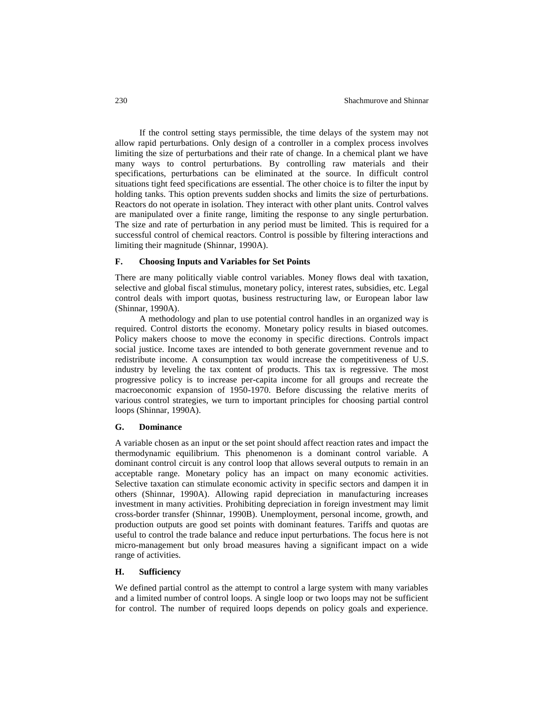If the control setting stays permissible, the time delays of the system may not allow rapid perturbations. Only design of a controller in a complex process involves limiting the size of perturbations and their rate of change. In a chemical plant we have many ways to control perturbations. By controlling raw materials and their specifications, perturbations can be eliminated at the source. In difficult control situations tight feed specifications are essential. The other choice is to filter the input by holding tanks. This option prevents sudden shocks and limits the size of perturbations. Reactors do not operate in isolation. They interact with other plant units. Control valves are manipulated over a finite range, limiting the response to any single perturbation. The size and rate of perturbation in any period must be limited. This is required for a successful control of chemical reactors. Control is possible by filtering interactions and limiting their magnitude (Shinnar, 1990A).

## **F. Choosing Inputs and Variables for Set Points**

There are many politically viable control variables. Money flows deal with taxation, selective and global fiscal stimulus, monetary policy, interest rates, subsidies, etc. Legal control deals with import quotas, business restructuring law, or European labor law (Shinnar, 1990A).

A methodology and plan to use potential control handles in an organized way is required. Control distorts the economy. Monetary policy results in biased outcomes. Policy makers choose to move the economy in specific directions. Controls impact social justice. Income taxes are intended to both generate government revenue and to redistribute income. A consumption tax would increase the competitiveness of U.S. industry by leveling the tax content of products. This tax is regressive. The most progressive policy is to increase per-capita income for all groups and recreate the macroeconomic expansion of 1950-1970. Before discussing the relative merits of various control strategies, we turn to important principles for choosing partial control loops (Shinnar, 1990A).

#### **G. Dominance**

A variable chosen as an input or the set point should affect reaction rates and impact the thermodynamic equilibrium. This phenomenon is a dominant control variable. A dominant control circuit is any control loop that allows several outputs to remain in an acceptable range. Monetary policy has an impact on many economic activities. Selective taxation can stimulate economic activity in specific sectors and dampen it in others (Shinnar, 1990A). Allowing rapid depreciation in manufacturing increases investment in many activities. Prohibiting depreciation in foreign investment may limit cross-border transfer (Shinnar, 1990B). Unemployment, personal income, growth, and production outputs are good set points with dominant features. Tariffs and quotas are useful to control the trade balance and reduce input perturbations. The focus here is not micro-management but only broad measures having a significant impact on a wide range of activities.

## **H. Sufficiency**

We defined partial control as the attempt to control a large system with many variables and a limited number of control loops. A single loop or two loops may not be sufficient for control. The number of required loops depends on policy goals and experience.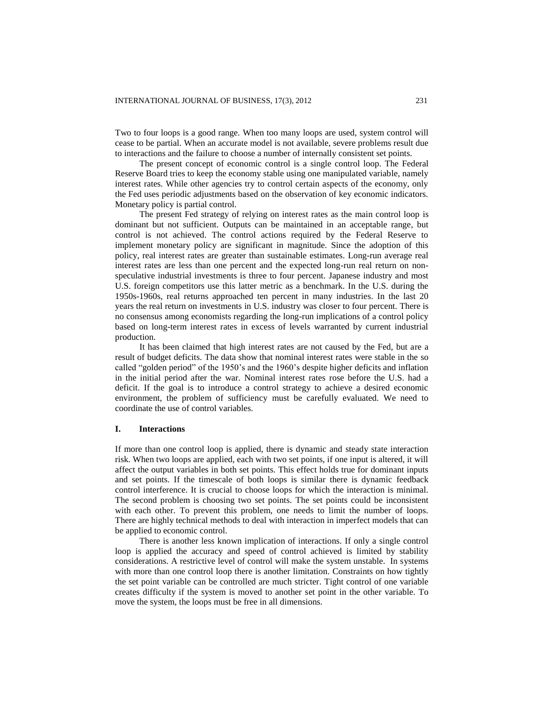Two to four loops is a good range. When too many loops are used, system control will cease to be partial. When an accurate model is not available, severe problems result due to interactions and the failure to choose a number of internally consistent set points.

The present concept of economic control is a single control loop. The Federal Reserve Board tries to keep the economy stable using one manipulated variable, namely interest rates. While other agencies try to control certain aspects of the economy, only the Fed uses periodic adjustments based on the observation of key economic indicators. Monetary policy is partial control.

The present Fed strategy of relying on interest rates as the main control loop is dominant but not sufficient. Outputs can be maintained in an acceptable range, but control is not achieved. The control actions required by the Federal Reserve to implement monetary policy are significant in magnitude. Since the adoption of this policy, real interest rates are greater than sustainable estimates. Long-run average real interest rates are less than one percent and the expected long-run real return on nonspeculative industrial investments is three to four percent. Japanese industry and most U.S. foreign competitors use this latter metric as a benchmark. In the U.S. during the 1950s-1960s, real returns approached ten percent in many industries. In the last 20 years the real return on investments in U.S. industry was closer to four percent. There is no consensus among economists regarding the long-run implications of a control policy based on long-term interest rates in excess of levels warranted by current industrial production.

It has been claimed that high interest rates are not caused by the Fed, but are a result of budget deficits. The data show that nominal interest rates were stable in the so called "golden period" of the 1950's and the 1960's despite higher deficits and inflation in the initial period after the war. Nominal interest rates rose before the U.S. had a deficit. If the goal is to introduce a control strategy to achieve a desired economic environment, the problem of sufficiency must be carefully evaluated. We need to coordinate the use of control variables.

## **I. Interactions**

If more than one control loop is applied, there is dynamic and steady state interaction risk. When two loops are applied, each with two set points, if one input is altered, it will affect the output variables in both set points. This effect holds true for dominant inputs and set points. If the timescale of both loops is similar there is dynamic feedback control interference. It is crucial to choose loops for which the interaction is minimal. The second problem is choosing two set points. The set points could be inconsistent with each other. To prevent this problem, one needs to limit the number of loops. There are highly technical methods to deal with interaction in imperfect models that can be applied to economic control.

There is another less known implication of interactions. If only a single control loop is applied the accuracy and speed of control achieved is limited by stability considerations. A restrictive level of control will make the system unstable. In systems with more than one control loop there is another limitation. Constraints on how tightly the set point variable can be controlled are much stricter. Tight control of one variable creates difficulty if the system is moved to another set point in the other variable. To move the system, the loops must be free in all dimensions.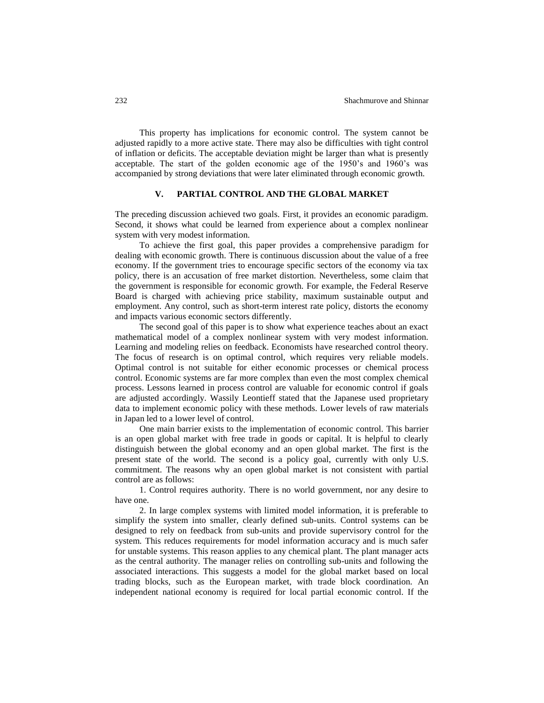This property has implications for economic control. The system cannot be adjusted rapidly to a more active state. There may also be difficulties with tight control of inflation or deficits. The acceptable deviation might be larger than what is presently acceptable. The start of the golden economic age of the 1950's and 1960's was accompanied by strong deviations that were later eliminated through economic growth.

#### **V. PARTIAL CONTROL AND THE GLOBAL MARKET**

The preceding discussion achieved two goals. First, it provides an economic paradigm. Second, it shows what could be learned from experience about a complex nonlinear system with very modest information.

To achieve the first goal, this paper provides a comprehensive paradigm for dealing with economic growth. There is continuous discussion about the value of a free economy. If the government tries to encourage specific sectors of the economy via tax policy, there is an accusation of free market distortion. Nevertheless, some claim that the government is responsible for economic growth. For example, the Federal Reserve Board is charged with achieving price stability, maximum sustainable output and employment. Any control, such as short-term interest rate policy, distorts the economy and impacts various economic sectors differently.

The second goal of this paper is to show what experience teaches about an exact mathematical model of a complex nonlinear system with very modest information. Learning and modeling relies on feedback. Economists have researched control theory. The focus of research is on optimal control, which requires very reliable models. Optimal control is not suitable for either economic processes or chemical process control. Economic systems are far more complex than even the most complex chemical process. Lessons learned in process control are valuable for economic control if goals are adjusted accordingly. Wassily Leontieff stated that the Japanese used proprietary data to implement economic policy with these methods. Lower levels of raw materials in Japan led to a lower level of control.

One main barrier exists to the implementation of economic control. This barrier is an open global market with free trade in goods or capital. It is helpful to clearly distinguish between the global economy and an open global market. The first is the present state of the world. The second is a policy goal, currently with only U.S. commitment. The reasons why an open global market is not consistent with partial control are as follows:

1. Control requires authority. There is no world government, nor any desire to have one.

2. In large complex systems with limited model information, it is preferable to simplify the system into smaller, clearly defined sub-units. Control systems can be designed to rely on feedback from sub-units and provide supervisory control for the system. This reduces requirements for model information accuracy and is much safer for unstable systems. This reason applies to any chemical plant. The plant manager acts as the central authority. The manager relies on controlling sub-units and following the associated interactions. This suggests a model for the global market based on local trading blocks, such as the European market, with trade block coordination. An independent national economy is required for local partial economic control. If the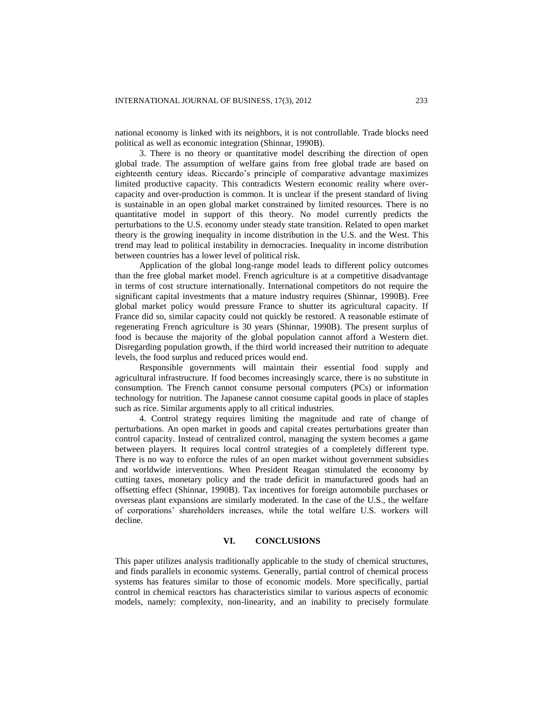national economy is linked with its neighbors, it is not controllable. Trade blocks need political as well as economic integration (Shinnar, 1990B).

3. There is no theory or quantitative model describing the direction of open global trade. The assumption of welfare gains from free global trade are based on eighteenth century ideas. Riccardo's principle of comparative advantage maximizes limited productive capacity. This contradicts Western economic reality where overcapacity and over-production is common. It is unclear if the present standard of living is sustainable in an open global market constrained by limited resources. There is no quantitative model in support of this theory. No model currently predicts the perturbations to the U.S. economy under steady state transition. Related to open market theory is the growing inequality in income distribution in the U.S. and the West. This trend may lead to political instability in democracies. Inequality in income distribution between countries has a lower level of political risk.

Application of the global long-range model leads to different policy outcomes than the free global market model. French agriculture is at a competitive disadvantage in terms of cost structure internationally. International competitors do not require the significant capital investments that a mature industry requires (Shinnar, 1990B). Free global market policy would pressure France to shutter its agricultural capacity. If France did so, similar capacity could not quickly be restored. A reasonable estimate of regenerating French agriculture is 30 years (Shinnar, 1990B). The present surplus of food is because the majority of the global population cannot afford a Western diet. Disregarding population growth, if the third world increased their nutrition to adequate levels, the food surplus and reduced prices would end.

Responsible governments will maintain their essential food supply and agricultural infrastructure. If food becomes increasingly scarce, there is no substitute in consumption. The French cannot consume personal computers (PCs) or information technology for nutrition. The Japanese cannot consume capital goods in place of staples such as rice. Similar arguments apply to all critical industries.

4. Control strategy requires limiting the magnitude and rate of change of perturbations. An open market in goods and capital creates perturbations greater than control capacity. Instead of centralized control, managing the system becomes a game between players. It requires local control strategies of a completely different type. There is no way to enforce the rules of an open market without government subsidies and worldwide interventions. When President Reagan stimulated the economy by cutting taxes, monetary policy and the trade deficit in manufactured goods had an offsetting effect (Shinnar, 1990B). Tax incentives for foreign automobile purchases or overseas plant expansions are similarly moderated. In the case of the U.S., the welfare of corporations' shareholders increases, while the total welfare U.S. workers will decline.

## **VI. CONCLUSIONS**

This paper utilizes analysis traditionally applicable to the study of chemical structures, and finds parallels in economic systems. Generally, partial control of chemical process systems has features similar to those of economic models. More specifically, partial control in chemical reactors has characteristics similar to various aspects of economic models, namely: complexity, non-linearity, and an inability to precisely formulate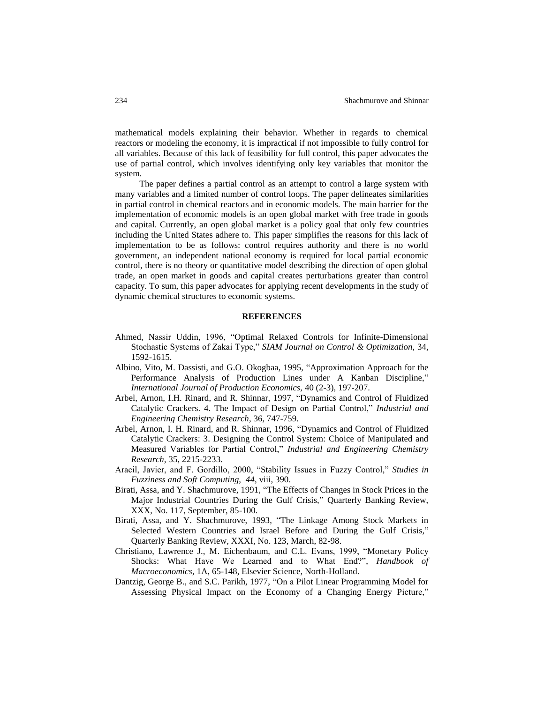mathematical models explaining their behavior. Whether in regards to chemical reactors or modeling the economy, it is impractical if not impossible to fully control for all variables. Because of this lack of feasibility for full control, this paper advocates the use of partial control, which involves identifying only key variables that monitor the system.

The paper defines a partial control as an attempt to control a large system with many variables and a limited number of control loops. The paper delineates similarities in partial control in chemical reactors and in economic models. The main barrier for the implementation of economic models is an open global market with free trade in goods and capital. Currently, an open global market is a policy goal that only few countries including the United States adhere to. This paper simplifies the reasons for this lack of implementation to be as follows: control requires authority and there is no world government, an independent national economy is required for local partial economic control, there is no theory or quantitative model describing the direction of open global trade, an open market in goods and capital creates perturbations greater than control capacity. To sum, this paper advocates for applying recent developments in the study of dynamic chemical structures to economic systems.

#### **REFERENCES**

- Ahmed, Nassir Uddin, 1996, "Optimal Relaxed Controls for Infinite-Dimensional Stochastic Systems of Zakai Type," *SIAM Journal on Control & Optimization,* 34, 1592-1615.
- Albino, Vito, M. Dassisti, and G.O. Okogbaa, 1995, "Approximation Approach for the Performance Analysis of Production Lines under A Kanban Discipline," *International Journal of Production Economics,* 40 (2-3), 197-207.
- Arbel, Arnon, I.H. Rinard, and R. Shinnar, 1997, "Dynamics and Control of Fluidized Catalytic Crackers. 4. The Impact of Design on Partial Control," *Industrial and Engineering Chemistry Research*, 36, 747-759.
- Arbel, Arnon, I. H. Rinard, and R. Shinnar, 1996, "Dynamics and Control of Fluidized Catalytic Crackers: 3. Designing the Control System: Choice of Manipulated and Measured Variables for Partial Control," *Industrial and Engineering Chemistry Research,* 35, 2215-2233.
- Aracil, Javier, and F. Gordillo, 2000, "Stability Issues in Fuzzy Control," *Studies in Fuzziness and Soft Computing, 44,* viii, 390.
- Birati, Assa, and Y. Shachmurove, 1991, "The Effects of Changes in Stock Prices in the Major Industrial Countries During the Gulf Crisis," Quarterly Banking Review, XXX, No. 117, September, 85-100.
- Birati, Assa, and Y. Shachmurove, 1993, "The Linkage Among Stock Markets in Selected Western Countries and Israel Before and During the Gulf Crisis," Quarterly Banking Review, XXXI, No. 123, March, 82-98.
- Christiano, Lawrence J., M. Eichenbaum, and C.L. Evans, 1999, "Monetary Policy Shocks: What Have We Learned and to What End?", *Handbook of Macroeconomics*, 1A, 65-148, Elsevier Science, North-Holland.
- Dantzig, George B., and S.C. Parikh, 1977, "On a Pilot Linear Programming Model for Assessing Physical Impact on the Economy of a Changing Energy Picture,"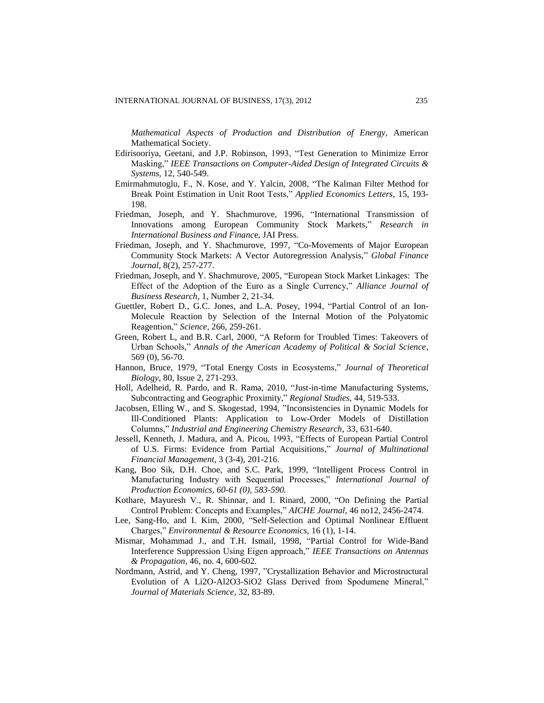*Mathematical Aspects of Production and Distribution of Energy,* American Mathematical Society.

- Edirisooriya, Geetani, and J.P. Robinson, 1993, "Test Generation to Minimize Error Masking," *IEEE Transactions on Computer-Aided Design of Integrated Circuits & Systems,* 12, 540-549.
- Emirmahmutoglu, F., N. Kose, and Y. Yalcin, 2008, "The Kalman Filter Method for Break Point Estimation in Unit Root Tests," *Applied Economics Letters,* 15, 193- 198.
- Friedman, Joseph, and Y. Shachmurove, 1996, "International Transmission of Innovations among European Community Stock Markets," *Research in International Business and Financ*e, JAI Press.
- Friedman, Joseph, and Y. Shachmurove, 1997, "Co-Movements of Major European Community Stock Markets: A Vector Autoregression Analysis," *Global Finance Journal*, 8(2), 257-277.
- Friedman, Joseph, and Y. Shachmurove, 2005, "European Stock Market Linkages: The Effect of the Adoption of the Euro as a Single Currency," *Alliance Journal of Business Research*, 1, Number 2, 21-34.
- Guettler, Robert D., G.C. Jones, and L.A. Posey, 1994, "Partial Control of an Ion-Molecule Reaction by Selection of the Internal Motion of the Polyatomic Reagention," *Science,* 266, 259-261.
- Green, Robert L, and B.R. Carl, 2000, "A Reform for Troubled Times: Takeovers of Urban Schools," *Annals of the American Academy of Political & Social Science,* 569 (0), 56-70.
- Hannon, Bruce, 1979, "Total Energy Costs in Ecosystems," *Journal of Theoretical Biology*, 80, Issue 2, 271-293.
- Holl, Adelheid, R. Pardo, and R. Rama, 2010, "Just-in-time Manufacturing Systems, Subcontracting and Geographic Proximity," *Regional Studies,* 44, 519-533.
- Jacobsen, Elling W., and S. Skogestad, 1994, "Inconsistencies in Dynamic Models for Ill-Conditioned Plants: Application to Low-Order Models of Distillation Columns," *Industrial and Engineering Chemistry Research*, 33, 631-640.
- Jessell, Kenneth, J. Madura, and A. Picou, 1993, "Effects of European Partial Control of U.S. Firms: Evidence from Partial Acquisitions," *Journal of Multinational Financial Management,* 3 (3-4), 201-216.
- Kang, Boo Sik, D.H. Choe, and S.C. Park, 1999, "Intelligent Process Control in Manufacturing Industry with Sequential Processes," *International Journal of Production Economics, 60-61 (0), 583-590.*
- Kothare, Mayuresh V., R. Shinnar, and I. Rinard, 2000, "On Defining the Partial Control Problem: Concepts and Examples," *AICHE Journal,* 46 no12, 2456-2474.
- Lee, Sang-Ho, and I. Kim, 2000, "Self-Selection and Optimal Nonlinear Effluent Charges," *Environmental & Resource Economics,* 16 (1), 1-14.
- Mismar, Mohammad J., and T.H. Ismail, 1998, "Partial Control for Wide-Band Interference Suppression Using Eigen approach," *IEEE Transactions on Antennas & Propagation,* 46, no. 4, 600-602*.*
- Nordmann, Astrid, and Y. Cheng, 1997, "Crystallization Behavior and Microstructural Evolution of A Li2O-Al2O3-SiO2 Glass Derived from Spodumene Mineral," *Journal of Materials Science,* 32, 83-89.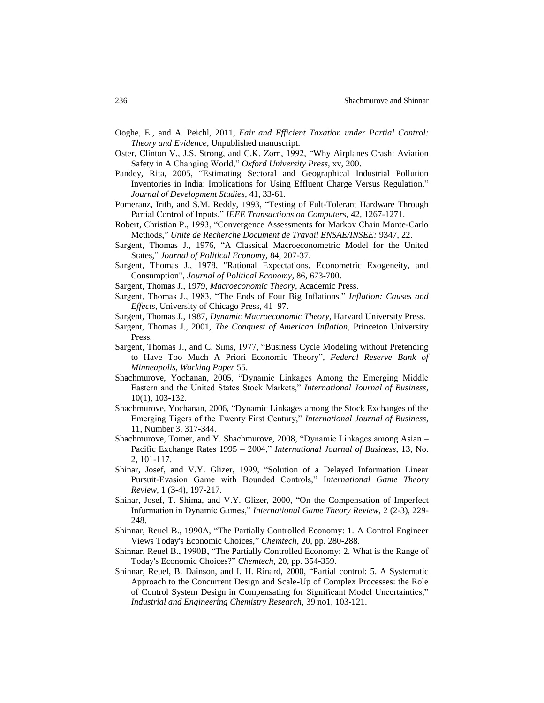- Ooghe, E., and A. Peichl, 2011, *Fair and Efficient Taxation under Partial Control: Theory and Evidence,* Unpublished manuscript.
- Oster, Clinton V., J.S. Strong, and C.K. Zorn, 1992, "Why Airplanes Crash: Aviation Safety in A Changing World," *Oxford University Press,* xv, 200.
- Pandey, Rita, 2005, "Estimating Sectoral and Geographical Industrial Pollution Inventories in India: Implications for Using Effluent Charge Versus Regulation," *Journal of Development Studies*, 41, 33-61.
- Pomeranz, Irith, and S.M. Reddy, 1993, "Testing of Fult-Tolerant Hardware Through Partial Control of Inputs," *IEEE Transactions on Computers,* 42, 1267-1271.
- Robert, Christian P., 1993, "Convergence Assessments for Markov Chain Monte-Carlo Methods," *Unite de Recherche Document de Travail ENSAE/INSEE:* 9347, 22.
- Sargent, Thomas J., 1976, "A Classical Macroeconometric Model for the United States," *Journal of Political Economy,* 84, 207-37.
- Sargent, Thomas J., 1978, "Rational Expectations, Econometric Exogeneity, and Consumption", *Journal of Political Economy,* 86, 673-700.
- Sargent, Thomas J., 1979, *Macroeconomic Theory*, Academic Press.
- Sargent, Thomas J., 1983, "The Ends of Four Big Inflations," *Inflation: Causes and Effects*, University of Chicago Press, 41–97.
- Sargent, Thomas J., 1987, *Dynamic Macroeconomic Theory*, Harvard University Press.
- Sargent, Thomas J., 2001, *The Conquest of American Inflation*, Princeton University Press.
- Sargent, Thomas J., and C. Sims, 1977, "Business Cycle Modeling without Pretending to Have Too Much A Priori Economic Theory", *Federal Reserve Bank of Minneapolis, Working Paper* 55.
- Shachmurove, Yochanan, 2005, "Dynamic Linkages Among the Emerging Middle Eastern and the United States Stock Markets," *International Journal of Business*, 10(1), 103-132.
- Shachmurove, Yochanan, 2006, "Dynamic Linkages among the Stock Exchanges of the Emerging Tigers of the Twenty First Century," *International Journal of Business*, 11, Number 3, 317-344.
- Shachmurove, Tomer, and Y. Shachmurove, 2008, "Dynamic Linkages among Asian Pacific Exchange Rates 1995 – 2004," *International Journal of Business*, 13, No. 2, 101-117.
- Shinar, Josef, and V.Y. Glizer, 1999, "Solution of a Delayed Information Linear Pursuit-Evasion Game with Bounded Controls," I*nternational Game Theory Review,* 1 (3-4), 197-217.
- Shinar, Josef, T. Shima, and V.Y. Glizer, 2000, "On the Compensation of Imperfect Information in Dynamic Games," *International Game Theory Review,* 2 (2-3), 229- 248.
- Shinnar, Reuel B., 1990A, "The Partially Controlled Economy: 1. A Control Engineer Views Today's Economic Choices," *Chemtech*, 20, pp. 280-288.
- Shinnar, Reuel B., 1990B, "The Partially Controlled Economy: 2. What is the Range of Today's Economic Choices?" *Chemtech*, 20, pp. 354-359.
- Shinnar, Reuel, B. Dainson, and I. H. Rinard, 2000, "Partial control: 5. A Systematic Approach to the Concurrent Design and Scale-Up of Complex Processes: the Role of Control System Design in Compensating for Significant Model Uncertainties," *Industrial and Engineering Chemistry Research,* 39 no1, 103-121.